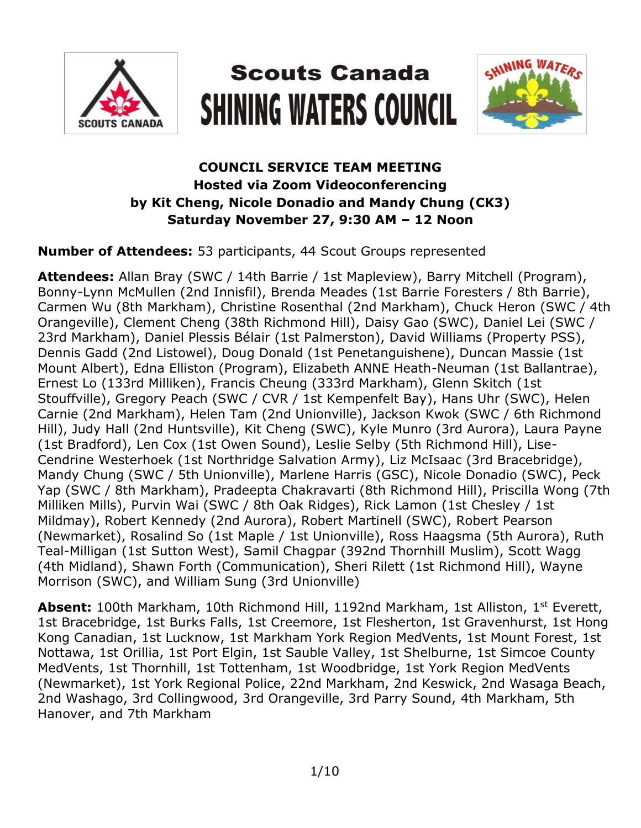

# **Scouts Canada SHINING WATERS COUNCIL**



## **COUNCIL SERVICE TEAM MEETING Hosted via Zoom Videoconferencing by Kit Cheng, Nicole Donadio and Mandy Chung (CK3) Saturday November 27, 9:30 AM – 12 Noon**

#### **Number of Attendees:** 53 participants, 44 Scout Groups represented

**Attendees:** Allan Bray (SWC / 14th Barrie / 1st Mapleview), Barry Mitchell (Program), Bonny-Lynn McMullen (2nd Innisfil), Brenda Meades (1st Barrie Foresters / 8th Barrie), Carmen Wu (8th Markham), Christine Rosenthal (2nd Markham), Chuck Heron (SWC / 4th Orangeville), Clement Cheng (38th Richmond Hill), Daisy Gao (SWC), Daniel Lei (SWC / 23rd Markham), Daniel Plessis Bélair (1st Palmerston), David Williams (Property PSS), Dennis Gadd (2nd Listowel), Doug Donald (1st Penetanguishene), Duncan Massie (1st Mount Albert), Edna Elliston (Program), Elizabeth ANNE Heath-Neuman (1st Ballantrae), Ernest Lo (133rd Milliken), Francis Cheung (333rd Markham), Glenn Skitch (1st Stouffville), Gregory Peach (SWC / CVR / 1st Kempenfelt Bay), Hans Uhr (SWC), Helen Carnie (2nd Markham), Helen Tam (2nd Unionville), Jackson Kwok (SWC / 6th Richmond Hill), Judy Hall (2nd Huntsville), Kit Cheng (SWC), Kyle Munro (3rd Aurora), Laura Payne (1st Bradford), Len Cox (1st Owen Sound), Leslie Selby (5th Richmond Hill), Lise-Cendrine Westerhoek (1st Northridge Salvation Army), Liz McIsaac (3rd Bracebridge), Mandy Chung (SWC / 5th Unionville), Marlene Harris (GSC), Nicole Donadio (SWC), Peck Yap (SWC / 8th Markham), Pradeepta Chakravarti (8th Richmond Hill), Priscilla Wong (7th Milliken Mills), Purvin Wai (SWC / 8th Oak Ridges), Rick Lamon (1st Chesley / 1st Mildmay), Robert Kennedy (2nd Aurora), Robert Martinell (SWC), Robert Pearson (Newmarket), Rosalind So (1st Maple / 1st Unionville), Ross Haagsma (5th Aurora), Ruth Teal-Milligan (1st Sutton West), Samil Chagpar (392nd Thornhill Muslim), Scott Wagg (4th Midland), Shawn Forth (Communication), Sheri Rilett (1st Richmond Hill), Wayne Morrison (SWC), and William Sung (3rd Unionville)

Absent: 100th Markham, 10th Richmond Hill, 1192nd Markham, 1st Alliston, 1<sup>st</sup> Everett, 1st Bracebridge, 1st Burks Falls, 1st Creemore, 1st Flesherton, 1st Gravenhurst, 1st Hong Kong Canadian, 1st Lucknow, 1st Markham York Region MedVents, 1st Mount Forest, 1st Nottawa, 1st Orillia, 1st Port Elgin, 1st Sauble Valley, 1st Shelburne, 1st Simcoe County MedVents, 1st Thornhill, 1st Tottenham, 1st Woodbridge, 1st York Region MedVents (Newmarket), 1st York Regional Police, 22nd Markham, 2nd Keswick, 2nd Wasaga Beach, 2nd Washago, 3rd Collingwood, 3rd Orangeville, 3rd Parry Sound, 4th Markham, 5th Hanover, and 7th Markham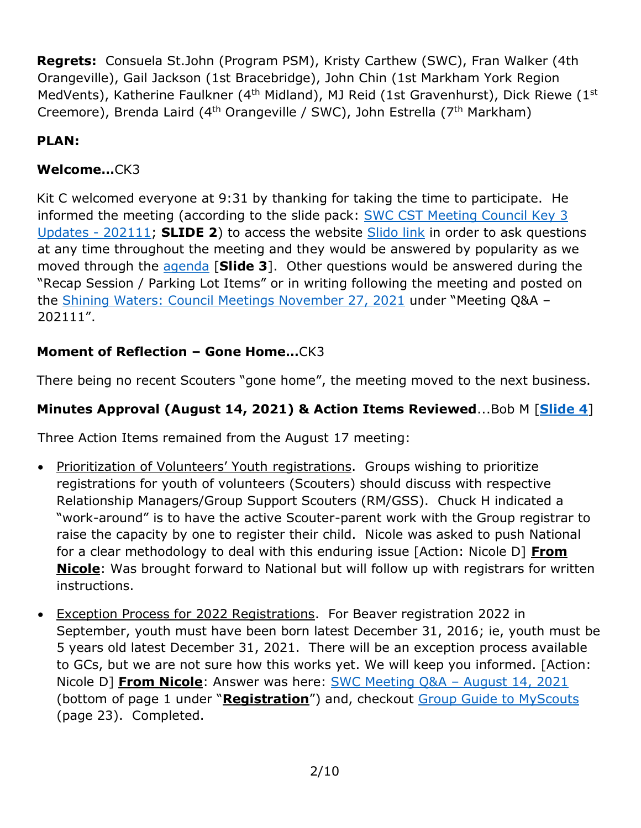**Regrets:** Consuela St.John (Program PSM), Kristy Carthew (SWC), Fran Walker (4th Orangeville), Gail Jackson (1st Bracebridge), John Chin (1st Markham York Region MedVents), Katherine Faulkner (4<sup>th</sup> Midland), MJ Reid (1st Gravenhurst), Dick Riewe (1<sup>st</sup> Creemore), Brenda Laird (4<sup>th</sup> Orangeville / SWC), John Estrella (7<sup>th</sup> Markham)

# **PLAN:**

## **Welcome…**CK3

Kit C welcomed everyone at 9:31 by thanking for taking the time to participate. He informed the meeting (according to the slide pack: [SWC CST Meeting Council Key 3](https://www.scouts.ca/assets/uploads/councils/shiningwaters/council_meetings/2021-11-27/SWC%20CST%20Meeting%20-%20November%2027,%202021.pdf)  [Updates -](https://www.scouts.ca/assets/uploads/councils/shiningwaters/council_meetings/2021-11-27/SWC%20CST%20Meeting%20-%20November%2027,%202021.pdf) 202111; **SLIDE 2**) to access the website [Slido link](https://app.sli.do/event/ibfogzis/live/questions) in order to ask questions at any time throughout the meeting and they would be answered by popularity as we moved through the [agenda](https://www.scouts.ca/assets/uploads/councils/shiningwaters/council_meetings/2021-11-27/SWC%20Council%20Service%20Team%20Meeting%20Agenda%20-%20202111.pdf) [**Slide 3**]. Other questions would be answered during the "Recap Session / Parking Lot Items" or in writing following the meeting and posted on the [Shining Waters: Council Meetings November 27, 2021](https://www.scouts.ca/councils/central/shining-waters/council-meetings.html) under "Meeting Q&A – 202111".

## **Moment of Reflection – Gone Home…**CK3

There being no recent Scouters "gone home", the meeting moved to the next business.

## **Minutes Approval (August 14, 2021) & Action Items Reviewed**...Bob M [**[Slide 4](https://www.scouts.ca/assets/uploads/councils/shiningwaters/council_meetings/2021-11-27/SWC%20CST%20Meeting%20-%20November%2027,%202021.pdf)**]

Three Action Items remained from the August 17 meeting:

- Prioritization of Volunteers' Youth registrations. Groups wishing to prioritize registrations for youth of volunteers (Scouters) should discuss with respective Relationship Managers/Group Support Scouters (RM/GSS). Chuck H indicated a "work-around" is to have the active Scouter-parent work with the Group registrar to raise the capacity by one to register their child. Nicole was asked to push National for a clear methodology to deal with this enduring issue [Action: Nicole D] **From Nicole**: Was brought forward to National but will follow up with registrars for written instructions.
- Exception Process for 2022 Registrations. For Beaver registration 2022 in September, youth must have been born latest December 31, 2016; ie, youth must be 5 years old latest December 31, 2021. There will be an exception process available to GCs, but we are not sure how this works yet. We will keep you informed. [Action: Nicole D] **From Nicole**: Answer was here: [SWC Meeting Q&A](https://www.scouts.ca/assets/uploads/councils/shiningwaters/council_meetings/2021-08-14/SWC%20Meeting%20Q&A%20-%20202108.pdf) – August 14, 2021 (bottom of page 1 under "**Registration**") and, checkout [Group Guide to MyScouts](https://files.constantcontact.com/16af778a101/844fd027-393b-47cd-93cb-78c19c97ba23.pdf) (page 23). Completed.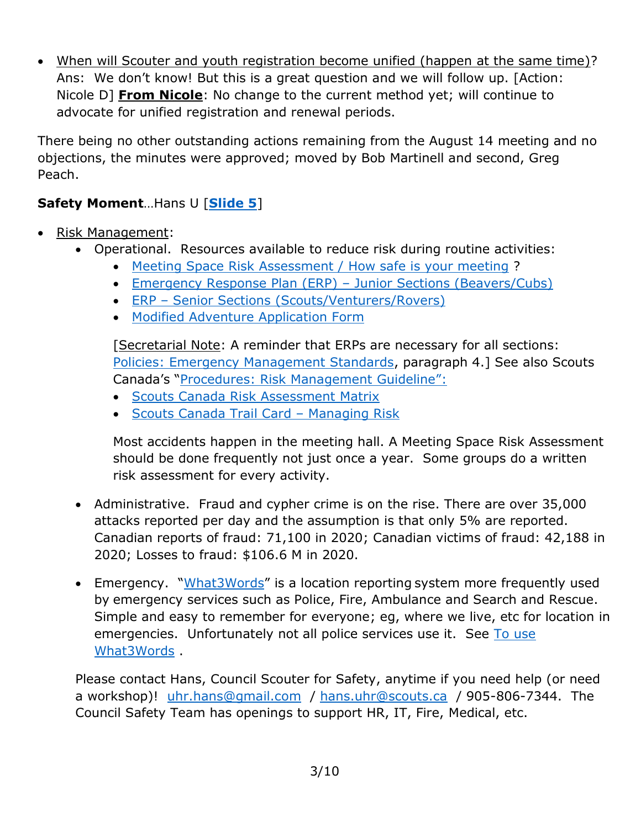When will Scouter and youth registration become unified (happen at the same time)? Ans: We don't know! But this is a great question and we will follow up. [Action: Nicole D] **From Nicole**: No change to the current method yet; will continue to advocate for unified registration and renewal periods.

There being no other outstanding actions remaining from the August 14 meeting and no objections, the minutes were approved; moved by Bob Martinell and second, Greg Peach.

## **Safety Moment**…Hans U [**[Slide 5](https://www.scouts.ca/assets/uploads/councils/shiningwaters/council_meetings/2021-11-27/SWC%20CST%20Meeting%20-%20November%2027,%202021.pdf)**]

- Risk Management:
	- Operational. Resources available to reduce risk during routine activities:
		- [Meeting Space Risk Assessment / How safe is your meeting](https://www.scouts.ca/scoutinglife/wp-content/uploads/safety/safety_tip-how-safe-is-your-meeting-space-aug2017.pdf) ?
		- [Emergency Response Plan \(ERP\)](https://scoutsca.s3.amazonaws.com/2020/02/emergency-response-plan-jr-sections.pdf)  Junior Sections (Beavers/Cubs)
		- ERP [Senior Sections \(Scouts/Venturers/Rovers\)](https://scoutsca.s3.amazonaws.com/2020/02/emergency-response-plan-sr-sections.pdf)
		- [Modified Adventure Application Form](https://scoutsca.s3.ca-central-1.amazonaws.com/2019/10/adventure-application-form.pdf)

[Secretarial Note: A reminder that ERPs are necessary for all sections: [Policies: Emergency Management Standards,](https://www.scouts.ca/resources/bpp/policies/emergency-management-standard.html) paragraph 4.] See also Scouts Canada's "[Procedures: Risk Management](https://www.scouts.ca/resources/bpp/procedures/risk-management-guideline.html) Guideline":

- **[Scouts Canada Risk Assessment Matrix](https://scoutsca.s3.amazonaws.com/2021/03/enterprise-risk-matrix.pdf)**
- [Scouts Canada Trail Card](https://scoutsca.s3.amazonaws.com/2019/02/tc-ylt-vs-managing-risk.pdf)  Managing Risk

Most accidents happen in the meeting hall. A Meeting Space Risk Assessment should be done frequently not just once a year. Some groups do a written risk assessment for every activity.

- Administrative. Fraud and cypher crime is on the rise. There are over 35,000 attacks reported per day and the assumption is that only 5% are reported. Canadian reports of fraud: 71,100 in 2020; Canadian victims of fraud: 42,188 in 2020; Losses to fraud: \$106.6 M in 2020.
- Emergency. "[What3Words](https://www.lmac-cpr.ca/images/What_3_words_Emergency_Community_Leaflet.pdf)" is a location reporting system more frequently used by emergency services such as Police, Fire, Ambulance and Search and Rescue. Simple and easy to remember for everyone; eg, where we live, etc for location in emergencies. Unfortunately not all police services use it. See [To use](https://what3words.com/embedded.fizzled.trial)  [What3Words](https://what3words.com/embedded.fizzled.trial) .

Please contact Hans, Council Scouter for Safety, anytime if you need help (or need a workshop)! [uhr.hans@gmail.com](mailto:uhr.hans@gmail.com) / [hans.uhr@scouts.ca](mailto:hans.uhr@scouts.ca) / 905-806-7344. The Council Safety Team has openings to support HR, IT, Fire, Medical, etc.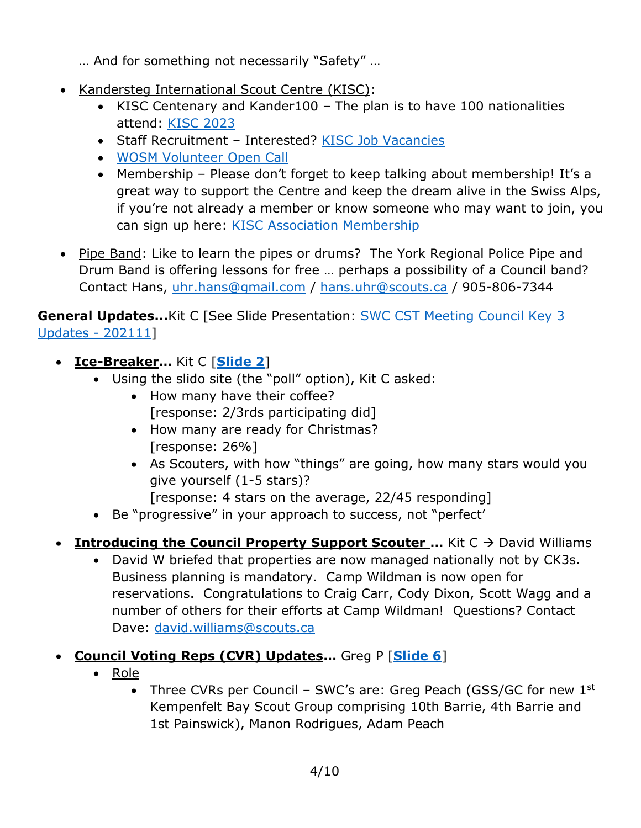- … And for something not necessarily "Safety" …
- Kandersteg International Scout Centre (KISC):
	- KISC Centenary and Kander100 The plan is to have 100 nationalities attend: [KISC 2023](https://2023.kisc.ch/)
	- Staff Recruitment Interested? [KISC Job Vacancies](https://www.kisc.ch/job-vacancies)
	- [WOSM Volunteer Open Call](https://www.scout.org/volunteer-opencall)
	- Membership Please don't forget to keep talking about membership! It's a great way to support the Centre and keep the dream alive in the Swiss Alps, if you're not already a member or know someone who may want to join, you can sign up here: [KISC Association Membership](https://www.kisc.ch/register/membership)
- Pipe Band: Like to learn the pipes or drums? The York Regional Police Pipe and Drum Band is offering lessons for free … perhaps a possibility of a Council band? Contact Hans, [uhr.hans@gmail.com](mailto:uhr.hans@gmail.com) / [hans.uhr@scouts.ca](mailto:hans.uhr@scouts.ca) / 905-806-7344

**General Updates...**Kit C [See Slide Presentation: [SWC CST Meeting Council Key 3](https://www.scouts.ca/assets/uploads/councils/shiningwaters/council_meetings/2021-11-27/SWC%20CST%20Meeting%20-%20November%2027,%202021.pdf)  [Updates -](https://www.scouts.ca/assets/uploads/councils/shiningwaters/council_meetings/2021-11-27/SWC%20CST%20Meeting%20-%20November%2027,%202021.pdf) 202111]

- **Ice-Breaker…** Kit C [**[Slide 2](https://www.scouts.ca/assets/uploads/councils/shiningwaters/council_meetings/2021-11-27/SWC%20CST%20Meeting%20-%20November%2027,%202021.pdf)**]
	- Using the slido site (the "poll" option), Kit C asked:
		- How many have their coffee? [response: 2/3rds participating did]
		- How many are ready for Christmas? [response: 26%]
		- As Scouters, with how "things" are going, how many stars would you give yourself (1-5 stars)?
			- [response: 4 stars on the average, 22/45 responding]
	- Be "progressive" in your approach to success, not "perfect'
- **Introducing the Council Property Support Scouter ...** Kit C → David Williams
	- David W briefed that properties are now managed nationally not by CK3s. Business planning is mandatory. Camp Wildman is now open for reservations. Congratulations to Craig Carr, Cody Dixon, Scott Wagg and a number of others for their efforts at Camp Wildman! Questions? Contact Dave: [david.williams@scouts.ca](mailto:david.williams@scouts.ca)
- **Council Voting Reps (CVR) Updates…** Greg P [**[Slide 6](https://www.scouts.ca/assets/uploads/councils/shiningwaters/council_meetings/2021-11-27/SWC%20CST%20Meeting%20-%20November%2027,%202021.pdf)**]
	- Role
		- Three CVRs per Council SWC's are: Greg Peach (GSS/GC for new  $1<sup>st</sup>$ Kempenfelt Bay Scout Group comprising 10th Barrie, 4th Barrie and 1st Painswick), Manon Rodrigues, Adam Peach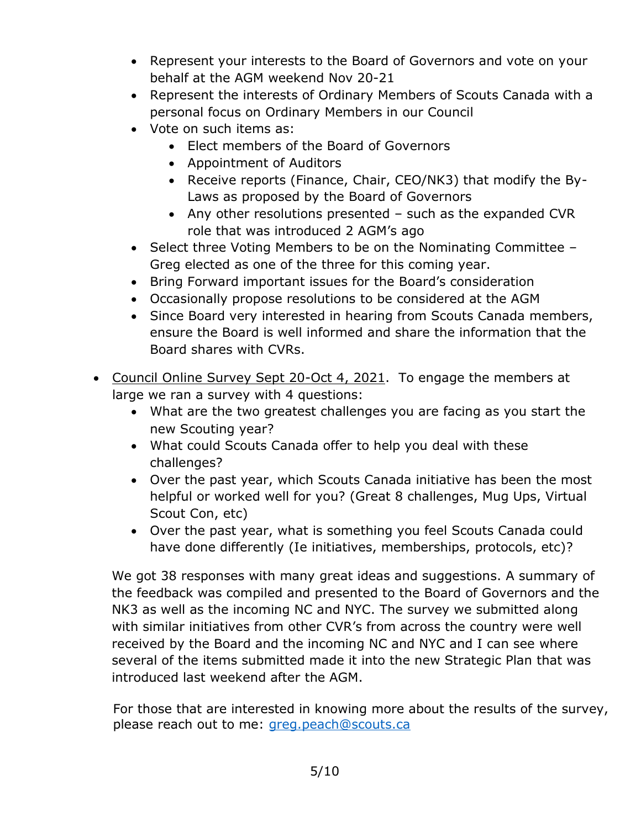- Represent your interests to the Board of Governors and vote on your behalf at the AGM weekend Nov 20-21
- Represent the interests of Ordinary Members of Scouts Canada with a personal focus on Ordinary Members in our Council
- Vote on such items as:
	- Elect members of the Board of Governors
	- Appointment of Auditors
	- Receive reports (Finance, Chair, CEO/NK3) that modify the By-Laws as proposed by the Board of Governors
	- Any other resolutions presented such as the expanded CVR role that was introduced 2 AGM's ago
- Select three Voting Members to be on the Nominating Committee -Greg elected as one of the three for this coming year.
- Bring Forward important issues for the Board's consideration
- Occasionally propose resolutions to be considered at the AGM
- Since Board very interested in hearing from Scouts Canada members, ensure the Board is well informed and share the information that the Board shares with CVRs.
- Council Online Survey Sept 20-Oct 4, 2021. To engage the members at large we ran a survey with 4 questions:
	- What are the two greatest challenges you are facing as you start the new Scouting year?
	- What could Scouts Canada offer to help you deal with these challenges?
	- Over the past year, which Scouts Canada initiative has been the most helpful or worked well for you? (Great 8 challenges, Mug Ups, Virtual Scout Con, etc)
	- Over the past year, what is something you feel Scouts Canada could have done differently (Ie initiatives, memberships, protocols, etc)?

We got 38 responses with many great ideas and suggestions. A summary of the feedback was compiled and presented to the Board of Governors and the NK3 as well as the incoming NC and NYC. The survey we submitted along with similar initiatives from other CVR's from across the country were well received by the Board and the incoming NC and NYC and I can see where several of the items submitted made it into the new Strategic Plan that was introduced last weekend after the AGM.

For those that are interested in knowing more about the results of the survey, please reach out to me: [greg.peach@scouts.ca](mailto:greg.peach@scouts.ca)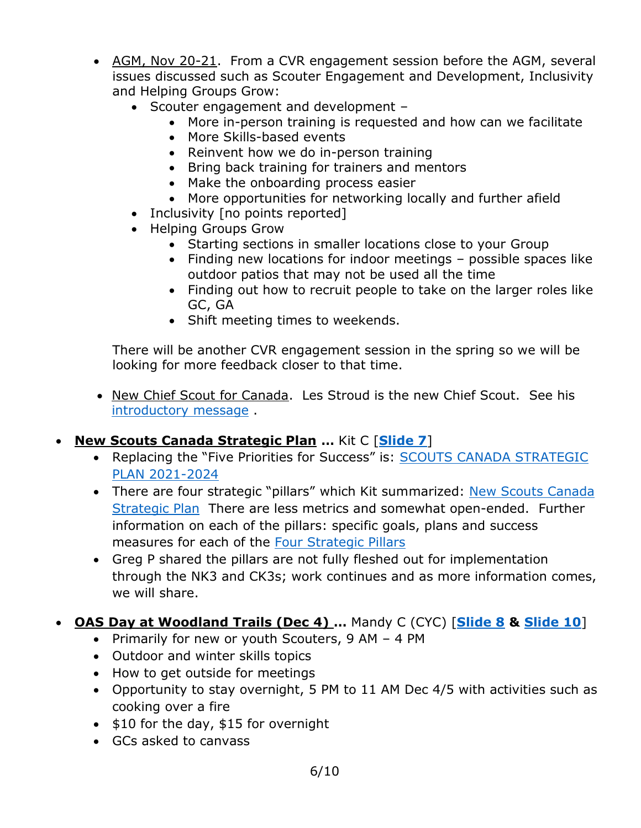- AGM, Nov 20-21. From a CVR engagement session before the AGM, several issues discussed such as Scouter Engagement and Development, Inclusivity and Helping Groups Grow:
	- Scouter engagement and development -
		- More in-person training is requested and how can we facilitate
		- More Skills-based events
		- Reinvent how we do in-person training
		- Bring back training for trainers and mentors
		- Make the onboarding process easier
		- More opportunities for networking locally and further afield
	- Inclusivity [no points reported]
	- Helping Groups Grow
		- Starting sections in smaller locations close to your Group
		- Finding new locations for indoor meetings possible spaces like outdoor patios that may not be used all the time
		- Finding out how to recruit people to take on the larger roles like GC, GA
		- Shift meeting times to weekends.

There will be another CVR engagement session in the spring so we will be looking for more feedback closer to that time.

- New Chief Scout for Canada. Les Stroud is the new Chief Scout. See his [introductory message](https://www.youtube.com/watch?v=8u7-Mik-V-Y&t=4s) .
- **New Scouts Canada Strategic Plan …** Kit C [**[Slide 7](https://www.scouts.ca/assets/uploads/councils/shiningwaters/council_meetings/2021-11-27/SWC%20CST%20Meeting%20-%20November%2027,%202021.pdf)**]
	- Replacing the "Five Priorities for Success" is: SCOUTS CANADA STRATEGIC [PLAN 2021-2024](https://www.scouts.ca/about/strategic-plan.html)
	- There are four strategic "pillars" which Kit summarized: New Scouts Canada [Strategic Plan](file:///C:/Users/CathyandBob/Documents/Scouting/Shining%20Waters%20Council/2021/SWCST%20Mtg%20Nov%2027,%202021/strategic_plan_overview.pdf) There are less metrics and somewhat open-ended. Further information on each of the pillars: specific goals, plans and success measures for each of the [Four Strategic Pillars](https://scoutsca.s3.amazonaws.com/2021/11/strategic-plan.pdf)
	- Greg P shared the pillars are not fully fleshed out for implementation through the NK3 and CK3s; work continues and as more information comes, we will share.
- **OAS Day at Woodland Trails (Dec 4) …** Mandy C (CYC) [**[Slide 8](https://www.scouts.ca/assets/uploads/councils/shiningwaters/council_meetings/2021-11-27/SWC%20CST%20Meeting%20-%20November%2027,%202021.pdf) & [Slide 10](https://www.scouts.ca/assets/uploads/councils/shiningwaters/council_meetings/2021-11-27/SWC%20CST%20Meeting%20-%20November%2027,%202021.pdf)**]
	- Primarily for new or youth Scouters,  $9$  AM 4 PM
	- Outdoor and winter skills topics
	- How to get outside for meetings
	- Opportunity to stay overnight, 5 PM to 11 AM Dec 4/5 with activities such as cooking over a fire
	- $\bullet$  \$10 for the day, \$15 for overnight
	- GCs asked to canvass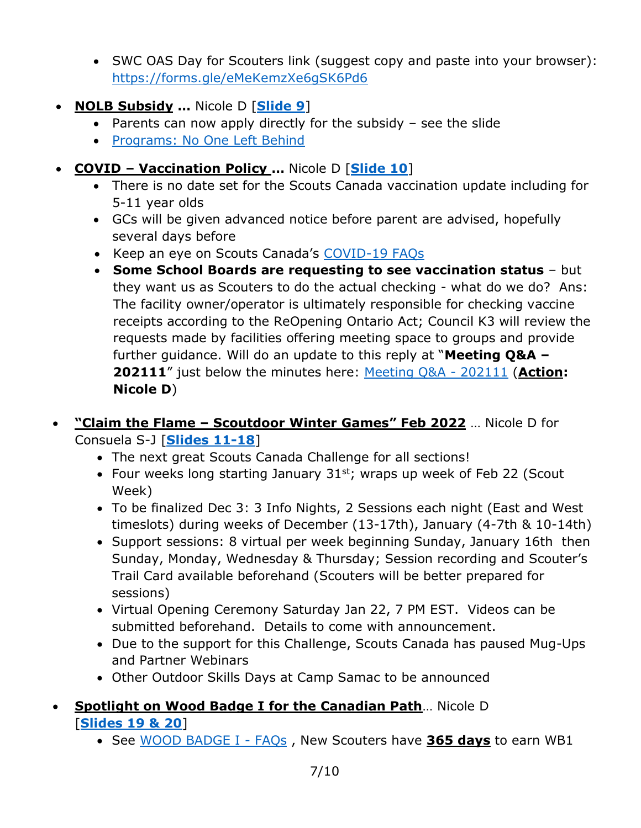- SWC OAS Day for Scouters link (suggest copy and paste into your browser): <https://forms.gle/eMeKemzXe6gSK6Pd6>
- **NOLB Subsidy …** Nicole D [**[Slide 9](https://www.scouts.ca/assets/uploads/councils/shiningwaters/council_meetings/2021-11-27/SWC%20CST%20Meeting%20-%20November%2027,%202021.pdf)**]
	- Parents can now apply directly for the subsidy  $-$  see the slide
	- [Programs: No One Left Behind](https://www.scouts.ca/programs/no-one-left-behind.html)
- **COVID – Vaccination Policy …** Nicole D [**[Slide 10](https://www.scouts.ca/assets/uploads/councils/shiningwaters/council_meetings/2021-11-27/SWC%20CST%20Meeting%20-%20November%2027,%202021.pdf)**]
	- There is no date set for the Scouts Canada vaccination update including for 5-11 year olds
	- GCs will be given advanced notice before parent are advised, hopefully several days before
	- Keep an eye on Scouts Canada's [COVID-19 FAQs](https://www.scouts.ca/news-and-events/covid-19/covid-19-faq.html)
	- **Some School Boards are requesting to see vaccination status** but they want us as Scouters to do the actual checking - what do we do? Ans: The facility owner/operator is ultimately responsible for checking vaccine receipts according to the ReOpening Ontario Act; Council K3 will review the requests made by facilities offering meeting space to groups and provide further guidance. Will do an update to this reply at "**Meeting Q&A – 202111**" just below the minutes here: [Meeting Q&A -](https://www.scouts.ca/councils/central/shining-waters/council-meetings.html) 202111 (**Action: Nicole D**)
- **"Claim the Flame – Scoutdoor Winter Games" Feb 2022** … Nicole D for Consuela S-J [**[Slides 11-18](https://www.scouts.ca/assets/uploads/councils/shiningwaters/council_meetings/2021-11-27/SWC%20CST%20Meeting%20-%20November%2027,%202021.pdf)**]
	- The next great Scouts Canada Challenge for all sections!
	- Four weeks long starting January  $31^{st}$ ; wraps up week of Feb 22 (Scout Week)
	- To be finalized Dec 3: 3 Info Nights, 2 Sessions each night (East and West timeslots) during weeks of December (13-17th), January (4-7th & 10-14th)
	- Support sessions: 8 virtual per week beginning Sunday, January 16th then Sunday, Monday, Wednesday & Thursday; Session recording and Scouter's Trail Card available beforehand (Scouters will be better prepared for sessions)
	- Virtual Opening Ceremony Saturday Jan 22, 7 PM EST. Videos can be submitted beforehand. Details to come with announcement.
	- Due to the support for this Challenge, Scouts Canada has paused Mug-Ups and Partner Webinars
	- Other Outdoor Skills Days at Camp Samac to be announced
- **Spotlight on Wood Badge I for the Canadian Path**… Nicole D [**[Slides 19 & 20](https://www.scouts.ca/assets/uploads/councils/shiningwaters/council_meetings/2021-11-27/SWC%20CST%20Meeting%20-%20November%2027,%202021.pdf)**]
	- See [WOOD BADGE I -](https://help.scouts.ca/hc/en-ca/articles/360001040303-Wood-Badge-l-FAQ) FAQs , New Scouters have **365 days** to earn WB1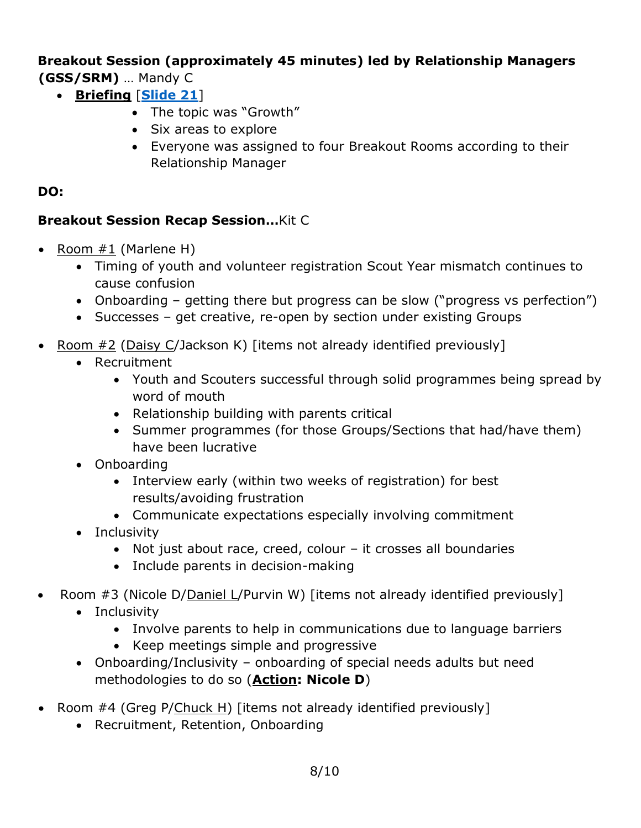**Breakout Session (approximately 45 minutes) led by Relationship Managers (GSS/SRM)** … Mandy C

- **Briefing** [**[Slide](https://www.scouts.ca/assets/uploads/councils/shiningwaters/council_meetings/2021-11-27/SWC%20CST%20Meeting%20-%20November%2027,%202021.pdf) 21**]
	- The topic was "Growth"
	- Six areas to explore
	- Everyone was assigned to four Breakout Rooms according to their Relationship Manager

#### **DO:**

#### **Breakout Session Recap Session…**Kit C

- Room  $#1$  (Marlene H)
	- Timing of youth and volunteer registration Scout Year mismatch continues to cause confusion
	- Onboarding getting there but progress can be slow ("progress vs perfection")
	- Successes get creative, re-open by section under existing Groups
- Room #2 (Daisy C/Jackson K) [items not already identified previously]
	- Recruitment
		- Youth and Scouters successful through solid programmes being spread by word of mouth
		- Relationship building with parents critical
		- Summer programmes (for those Groups/Sections that had/have them) have been lucrative
	- Onboarding
		- Interview early (within two weeks of registration) for best results/avoiding frustration
		- Communicate expectations especially involving commitment
	- Inclusivity
		- Not just about race, creed, colour it crosses all boundaries
		- Include parents in decision-making
- Room #3 (Nicole D/Daniel L/Purvin W) [items not already identified previously]
	- Inclusivity
		- Involve parents to help in communications due to language barriers
		- Keep meetings simple and progressive
	- Onboarding/Inclusivity onboarding of special needs adults but need methodologies to do so (**Action: Nicole D**)
- Room #4 (Greg P/Chuck H) [items not already identified previously]
	- Recruitment, Retention, Onboarding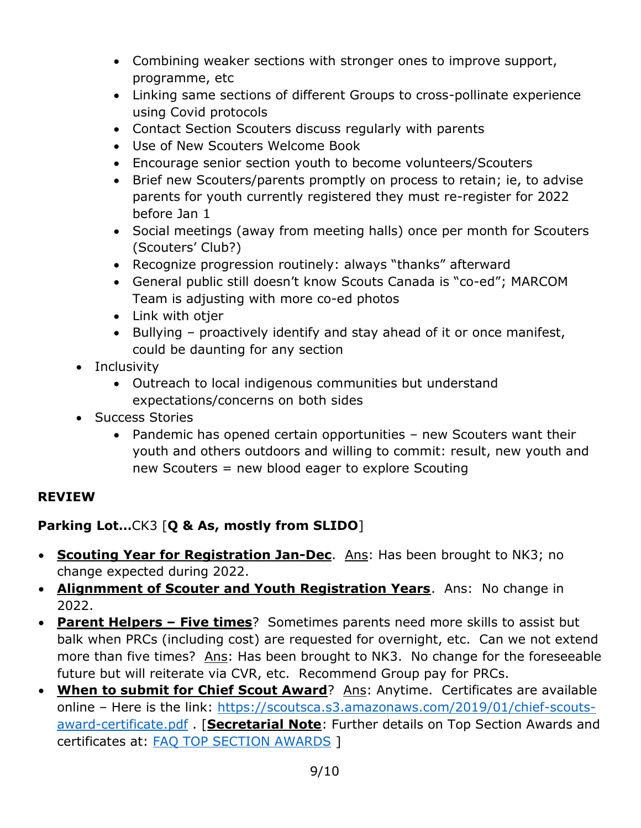- Combining weaker sections with stronger ones to improve support, programme, etc
- Linking same sections of different Groups to cross-pollinate experience using Covid protocols
- Contact Section Scouters discuss regularly with parents
- Use of New Scouters Welcome Book
- Encourage senior section youth to become volunteers/Scouters
- Brief new Scouters/parents promptly on process to retain; ie, to advise parents for youth currently registered they must re-register for 2022 before Jan 1
- Social meetings (away from meeting halls) once per month for Scouters (Scouters' Club?)
- Recognize progression routinely: always "thanks" afterward
- General public still doesn't know Scouts Canada is "co-ed"; MARCOM Team is adjusting with more co-ed photos
- Link with otjer
- Bullying proactively identify and stay ahead of it or once manifest, could be daunting for any section
- Inclusivity
	- Outreach to local indigenous communities but understand expectations/concerns on both sides
- Success Stories
	- Pandemic has opened certain opportunities new Scouters want their youth and others outdoors and willing to commit: result, new youth and new Scouters = new blood eager to explore Scouting

## **REVIEW**

## **Parking Lot…**CK3 [**Q & As, mostly from SLIDO**]

- **Scouting Year for Registration Jan-Dec**. Ans: Has been brought to NK3; no change expected during 2022.
- **Alignmment of Scouter and Youth Registration Years**. Ans: No change in 2022.
- **Parent Helpers – Five times**? Sometimes parents need more skills to assist but balk when PRCs (including cost) are requested for overnight, etc. Can we not extend more than five times? Ans: Has been brought to NK3. No change for the foreseeable future but will reiterate via CVR, etc. Recommend Group pay for PRCs.
- **When to submit for Chief Scout Award**? Ans: Anytime. Certificates are available online – Here is the link: [https://scoutsca.s3.amazonaws.com/2019/01/chief-scouts](https://scoutsca.s3.amazonaws.com/2019/01/chief-scouts-award-certificate.pdf)[award-certificate.pdf](https://scoutsca.s3.amazonaws.com/2019/01/chief-scouts-award-certificate.pdf) . [**Secretarial Note**: Further details on Top Section Awards and certificates at: [FAQ TOP SECTION AWARDS](https://help.scouts.ca/hc/en-ca/articles/360000365086-FAQ-Top-Section-Awards-) ]